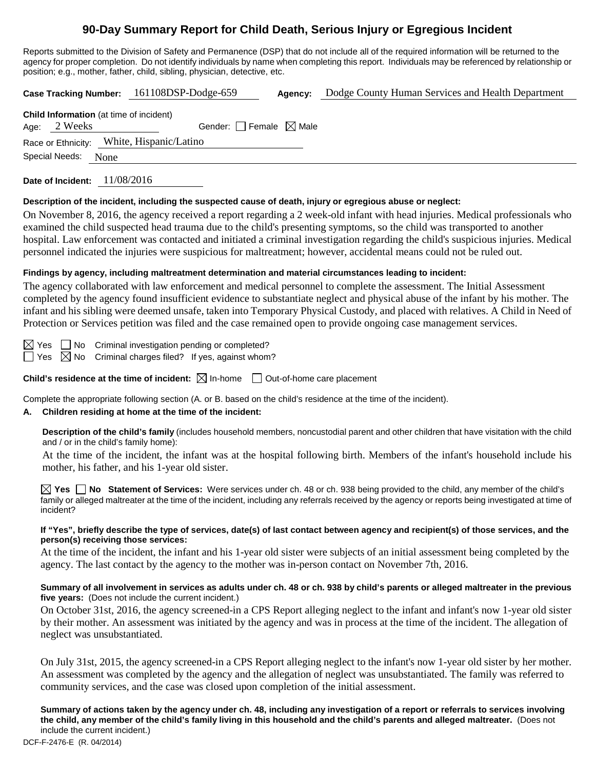## **90-Day Summary Report for Child Death, Serious Injury or Egregious Incident**

Reports submitted to the Division of Safety and Permanence (DSP) that do not include all of the required information will be returned to the agency for proper completion. Do not identify individuals by name when completing this report. Individuals may be referenced by relationship or position; e.g., mother, father, child, sibling, physician, detective, etc.

**Case Tracking Number:** 161108DSP-Dodge-659 **Agency:** Dodge County Human Services and Health Department **Child Information** (at time of incident) Age:  $2$  Weeks Gender: Female  $\boxtimes$  Male Race or Ethnicity: White, Hispanic/Latino Special Needs: None **Date of Incident:** 11/08/2016

#### **Description of the incident, including the suspected cause of death, injury or egregious abuse or neglect:**

On November 8, 2016, the agency received a report regarding a 2 week-old infant with head injuries. Medical professionals who examined the child suspected head trauma due to the child's presenting symptoms, so the child was transported to another hospital. Law enforcement was contacted and initiated a criminal investigation regarding the child's suspicious injuries. Medical personnel indicated the injuries were suspicious for maltreatment; however, accidental means could not be ruled out.

#### **Findings by agency, including maltreatment determination and material circumstances leading to incident:**

The agency collaborated with law enforcement and medical personnel to complete the assessment. The Initial Assessment completed by the agency found insufficient evidence to substantiate neglect and physical abuse of the infant by his mother. The infant and his sibling were deemed unsafe, taken into Temporary Physical Custody, and placed with relatives. A Child in Need of Protection or Services petition was filed and the case remained open to provide ongoing case management services.

 $\boxtimes$  Yes  $\Box$  No Criminal investigation pending or completed?  $\Box$  Yes  $\boxtimes$  No Criminal charges filed? If yes, against whom?

**Child's residence at the time of incident:**  $\boxtimes$  In-home  $\Box$  Out-of-home care placement

Complete the appropriate following section (A. or B. based on the child's residence at the time of the incident).

#### **A. Children residing at home at the time of the incident:**

**Description of the child's family** (includes household members, noncustodial parent and other children that have visitation with the child and / or in the child's family home):

At the time of the incident, the infant was at the hospital following birth. Members of the infant's household include his mother, his father, and his 1-year old sister.

**Yes No Statement of Services:** Were services under ch. 48 or ch. 938 being provided to the child, any member of the child's family or alleged maltreater at the time of the incident, including any referrals received by the agency or reports being investigated at time of incident?

#### **If "Yes", briefly describe the type of services, date(s) of last contact between agency and recipient(s) of those services, and the person(s) receiving those services:**

At the time of the incident, the infant and his 1-year old sister were subjects of an initial assessment being completed by the agency. The last contact by the agency to the mother was in-person contact on November 7th, 2016.

#### **Summary of all involvement in services as adults under ch. 48 or ch. 938 by child's parents or alleged maltreater in the previous five years:** (Does not include the current incident.)

On October 31st, 2016, the agency screened-in a CPS Report alleging neglect to the infant and infant's now 1-year old sister by their mother. An assessment was initiated by the agency and was in process at the time of the incident. The allegation of neglect was unsubstantiated.

On July 31st, 2015, the agency screened-in a CPS Report alleging neglect to the infant's now 1-year old sister by her mother. An assessment was completed by the agency and the allegation of neglect was unsubstantiated. The family was referred to community services, and the case was closed upon completion of the initial assessment.

**Summary of actions taken by the agency under ch. 48, including any investigation of a report or referrals to services involving the child, any member of the child's family living in this household and the child's parents and alleged maltreater.** (Does not include the current incident.)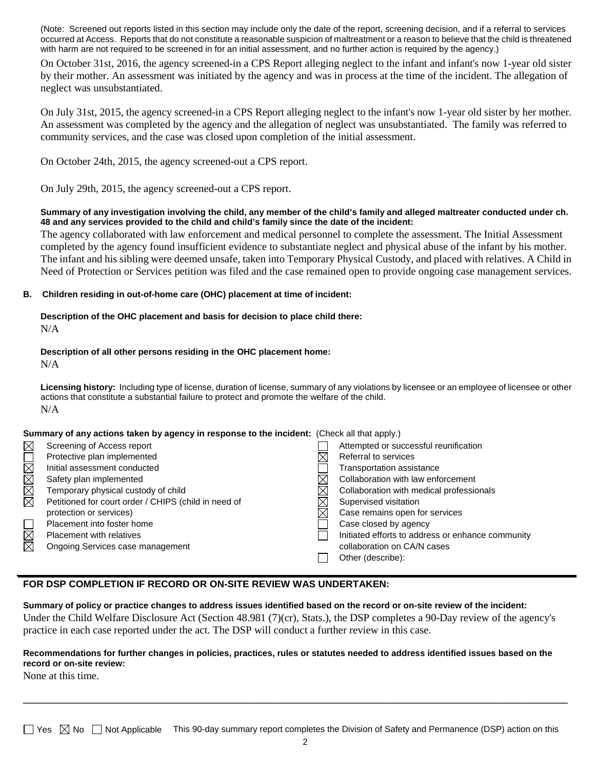(Note: Screened out reports listed in this section may include only the date of the report, screening decision, and if a referral to services occurred at Access. Reports that do not constitute a reasonable suspicion of maltreatment or a reason to believe that the child is threatened with harm are not required to be screened in for an initial assessment, and no further action is required by the agency.)

On October 31st, 2016, the agency screened-in a CPS Report alleging neglect to the infant and infant's now 1-year old sister by their mother. An assessment was initiated by the agency and was in process at the time of the incident. The allegation of neglect was unsubstantiated.

On July 31st, 2015, the agency screened-in a CPS Report alleging neglect to the infant's now 1-year old sister by her mother. An assessment was completed by the agency and the allegation of neglect was unsubstantiated. The family was referred to community services, and the case was closed upon completion of the initial assessment.

On October 24th, 2015, the agency screened-out a CPS report.

On July 29th, 2015, the agency screened-out a CPS report.

#### **Summary of any investigation involving the child, any member of the child's family and alleged maltreater conducted under ch. 48 and any services provided to the child and child's family since the date of the incident:**

The agency collaborated with law enforcement and medical personnel to complete the assessment. The Initial Assessment completed by the agency found insufficient evidence to substantiate neglect and physical abuse of the infant by his mother. The infant and his sibling were deemed unsafe, taken into Temporary Physical Custody, and placed with relatives. A Child in Need of Protection or Services petition was filed and the case remained open to provide ongoing case management services.

#### **B. Children residing in out-of-home care (OHC) placement at time of incident:**

# **Description of the OHC placement and basis for decision to place child there:**

N/A

#### **Description of all other persons residing in the OHC placement home:**

N/A

**Licensing history:** Including type of license, duration of license, summary of any violations by licensee or an employee of licensee or other actions that constitute a substantial failure to protect and promote the welfare of the child. N/A

#### **Summary of any actions taken by agency in response to the incident:** (Check all that apply.)

| MOX                    | Screening of Access report                           | Attempted or successful reunification             |
|------------------------|------------------------------------------------------|---------------------------------------------------|
|                        | Protective plan implemented                          | Referral to services                              |
|                        | Initial assessment conducted                         | Transportation assistance                         |
|                        | Safety plan implemented                              | Collaboration with law enforcement                |
| MMM                    | Temporary physical custody of child                  | Collaboration with medical professionals          |
|                        | Petitioned for court order / CHIPS (child in need of | Supervised visitation                             |
|                        | protection or services)                              | Case remains open for services                    |
| $\Box$                 | Placement into foster home                           | Case closed by agency                             |
| $\overline{\boxtimes}$ | <b>Placement with relatives</b>                      | Initiated efforts to address or enhance community |
|                        | Ongoing Services case management                     | collaboration on CA/N cases                       |
|                        |                                                      | Other (describe):                                 |
|                        |                                                      |                                                   |

### **FOR DSP COMPLETION IF RECORD OR ON-SITE REVIEW WAS UNDERTAKEN:**

**Summary of policy or practice changes to address issues identified based on the record or on-site review of the incident:** Under the Child Welfare Disclosure Act (Section 48.981 (7)(cr), Stats.), the DSP completes a 90-Day review of the agency's practice in each case reported under the act. The DSP will conduct a further review in this case.

#### **Recommendations for further changes in policies, practices, rules or statutes needed to address identified issues based on the record or on-site review:**

None at this time.

\_\_\_\_\_\_\_\_\_\_\_\_\_\_\_\_\_\_\_\_\_\_\_\_\_\_\_\_\_\_\_\_\_\_\_\_\_\_\_\_\_\_\_\_\_\_\_\_\_\_\_\_\_\_\_\_\_\_\_\_\_\_\_\_\_\_\_\_\_\_\_\_\_\_\_\_\_\_\_\_\_\_\_\_\_\_\_\_\_\_\_\_\_\_\_\_\_\_\_\_\_\_\_\_\_\_\_\_\_\_\_\_